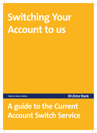# **Switching Your Account to us**

**Help for what matters**

## **XX Ulster Bank**

# **A guide to the Current Account Switch Service**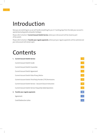# Introduction

Now you are switching to us, we will handle everything for you in 7 working days from the date your account is opened (excluding bank and public holidays).

Please refer to Section 1 **Current Account Switch Service**, where your old account will be closed as part of the switch.

Please refer to Section 2 **Transfer your regular payments**, where just your regular payments will be switched and your old account will remain open.

## Contents

| 1. Current Account Switch Service                             | $\overline{\mathbf{3}}$ |
|---------------------------------------------------------------|-------------------------|
| Current Account Switch Guide                                  | $\overline{4}$          |
| Current Account Switch Guarantee                              | $\overline{4}$          |
| Current Account Switch Agreement                              | -5                      |
| Current Account Switch Data Privacy Notice                    | 13                      |
| Current Account Switch Third Party Provider (TTP) Permissions | 15                      |
| Current Account Switch Service – Account Closure Instruction  | 16                      |
| Current Account Switch Service Frequently Asked Questions     | 18                      |
| 2. Transfer your regular payments                             | 20                      |
| Agreement                                                     | 21                      |
| Credit Redirection Letter                                     | 23                      |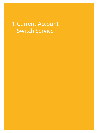## 1. Current Account Switch Service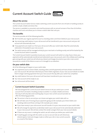## **Current Account Switch Guide**



#### **About the service**

The Current Account Switch Service makes switching current accounts from one UK bank or building society to another simple, reliable and stress free.

The service is available to consumers and small businesses with an annual turnover of less than £6.5million, charities and trusts and allows you to choose a switch date that suits you.

#### **The benefits**

The service provides all of the following benefits:

- $\bullet$  We'll transfer your regular payments (such as standing orders and Direct Debits) to your new account.
- $\bullet$  Any remaining credit balance in your old account will be transferred to your new account and your old account will automatically close.
- If any payments are made to or from your old account after your switch date, they'll be automatically redirected or forwarded to your new account.
- The switch process will be managed entirely by your new bank or building society and will be backed by the Current Account Switch Guarantee.

The Current Account Switch Guarantee ensures your current account will switch on a day of your choice, your payments will be automatically transferred and redirected to your new account, and in the unlikely event anything goes wrong with your switch we will refund any interest and charges (incurred on your old or new current accounts) as a result of this failure as soon as it is brought to our attention.

#### **On your switch date**

All of the following will happen on your switch date:

- Your payments (such as Direct Debits, standing orders and bill payments) will have all been transferred to your new account. We will have informed your Direct Debit originators of your new account details to enable them to begin claiming payments from your new account the day after your switch has completed.
- $\bullet$  Any credit balance from your old account will have been transferred to your new account.
- Your new account will be ready to use.
- $\bullet$  Your old account will be closed.

#### **Current Account Switch Guarantee**

We have designed the Current Account Switch Service to let you switch your current account from one bank or building society to another in a simple, reliable and stressfree way. It will only take seven working days. As your new current-account provider we offer the following guarantee.



- $\bullet$  We will take care of moving all your payments going out (for example, your Direct Debits and standing orders) and those coming in (for example, your salary).
- If you have money in your old account, we will transfer it to your new account on your switch date.
- $\bullet$  We will arrange for payments accidentally made to your old account to be automatically redirected to your new account. We will also contact the sender and give them your new account details.
- If there are any issues in making the switch, we will contact you before your switch date.
- $\bullet$  If anything goes wrong with the switch, as soon as we are told, we will refund any interest (paid or lost) and charges made on either your old or new current accounts as a result of this failure.



**CURRENT ACCOUN** SWITCH<br>GUARANTEE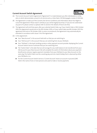

#### **Current Account Switch Agreement**

- (A) This Current Account Switch Agreement ("Agreement") is made between you (the individual(s) or entity who or which demonstrates consent to its terms) and us, Ulster Bank. 250 Bishopsgate, London EC2M 4AA.
- (B) The Agreement is made up of the Consent, the Service Conditions and information about Your Right to Cancel the Agreement. Please read it carefully as you will be legally bound by it. If you do not understand any part of it, please contact us (please refer to section 4 for details of how to do this).
- (C) The Agreement will end three years after your selected Switch Date, e.g. if your Switch Date is 10th October 2016, this Agreement would end on the 9th October 2019; or if your switch date was 8th October 2013 this agreement will end on 7th October 2016. In some circumstances, the Agreement may automatically be extended in accordance with clause 1.14 of the Agreement.
- (D) In this Agreement:
	- Your "New Account" is the account held with us that you are switching to.
	- Your "Old Account" is the account that you are switching from at your Old Bank.
	- $\bullet$  Your "Old Bank" is the bank, building society or other payment account provider displaying the Current Account Switch Service Trustmark that you are switching from.
	- The "Switch Date" is the date that we will arrange for any credit balance to be transferred from your Old Account to your New Account. We will complete the switch of information about your payment beneficiaries and your regular payment mandates from your Old Bank to your New Account on the same day. The Switch Date must be a working day and not a bank holiday that is observed by either your Old Bank or us.
	- For the Current Account Switch Service a 'Current Account' means an account in pounds (GBP) held in the name of one or more persons and used to make or receive payments.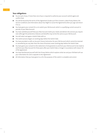#### **Your obligations**

- $\bullet$  You (or each of you, if more than one of you is required to authorise your account switch) agree and confirm that:
- $\bullet$  You will be bound by the terms of this Agreement (made up of this Consent, a data Privacy Notice, the Service Conditions and information about Your Right to Cancel the Agreement) when you sign and return it to us.
- $\bullet$  You have given your consent for us to switch your Old Account, which is a qualifying current account in pounds, to your New Account.
- $\bullet$  You have satisfied yourself that your New Account meets your needs and delivers the services you require even although the protections, features and benefits may not be the same as your Old Account.
- $\bullet$  You will select and agree a Switch Date with us.
- **The switch process begins six working days before the Switch Date.**
- $\bullet$  You have provided us with an Account Closure Instruction for your Old Account which cannot be reversed or cancelled by you any later than the close of business seven working days before the Switch Date.
- $\bullet$  You have given your consent to the redirection of all payments to and from your Old Account to be made to and from your New Account for three years after your Switch Date, or longer in accordance with clause 1.14 of the Agreement.
- $\bullet$  You have familiarised yourself with the Privacy Notice which explains what we and your Old Bank will use your information for and is separate to this Agreement.
- All information that you have given to us for the purposes of the switch is complete and correct.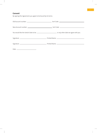#### **Consent**

By signing this Agreement, you agree to be bound by its terms: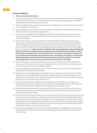#### **Service Conditions**

#### **1. The Current Account Switch Service**

- 1.1 The Current Account Switch Service Guarantee is issued by us after you have consented to this Agreement and Account Closure Instruction. This means that if you have any questions regarding your switch these should be directed to us, unless otherwise advised.
- 1.2 There is no charge for the Current Account Switch Service, although there may be other taxes or costs that are not charged by us or paid via us.
- 1.3 You can change the Switch Date at any time up until the close of business seven working days before the Switch Date that you have previously agreed with us.
- 1.4 The switch process begins six working days before the Switch Date. We will tell you that the switch is underway and when it is completed, and also if there is any reason why your switch request cannot be initiated or completed.
- 1.5 We will ensure that your existing regular payment mandates directly linked to your old account (e.g. standing orders, Direct Debits and bill payment mandates) are set up on your New Account and details of your existing payment beneficiaries are transferred to your New Account. In cases where we cannot match the payment frequency of your existing regular payment mandates, we will contact you to agree alternative arrangements. **Note: If you have arranged to make recurring payments using your Old Account debit card number, your Old Bank won't know your New Account debit card number so won't be able to transfer these to your New Account. This means that there is no guarantee that payment requests sent to your Old Account will be redirected to your New Account. The supplier may contact you to request the details of your New Account debit card. We recommend that you contact the supplier to set up a new recurring payment to ensure any service you receive (e.g. insurance) is not interrupted.**
- 1.6 We will also transfer any future dated payments (e.g. with a due date after your Switch Date) that you set up on your Old Account more than six working days before your Switch Date to your New Account to ensure these are made on the date originally requested.
- 1.7 The regular payment mandates that we will set up on your New Account as part of the switch will be in operation from the day after the Switch Date.
- 1.8 If you have any existing regular payment mandates that are in a foreign currency, or that quote a BIC or IBAN, these won't be switched to your New Account automatically. If we can facilitate foreign currency mandates or ones that quote a BIC or IBAN, you will have to provide us with the relevant details separately so that we can set up them up on your New Account.
- 1.9 If you make any changes to your regular payment mandates on your Old Account or set up any new payment beneficiaries on your Old Account on or after the sixth working day before the Switch Date you must tell us, otherwise these changes will not be implemented on your New Account.
- 1.10 Your Old Bank will forward any funds remaining in your Old Account to your New Account on the Switch Date. There may be a short period when the balance is being transferred when it will not be possible to access the funds being transferred.
- 1.11 Funds will be retained by your Old Bank to cover any transactions made before the Switch Date on your Old Account which are still in the process of being cleared on the Switch Date. On the day that your Old Bank no longer needs to retain funds to cover transactions that are being cleared, it will transfer them to your New Account and they will be credited to your New Account no later than the next working day. Funds will also be retained by your Old Bank to cover debit card transactions that have already been authorised but which have not yet been paid out of your Old Account.
- 1.12 If you have outstanding debt on your Old Account (including any fees or charges) after the Switch Date, your Old Bank will tell you. You are liable for any outstanding debt on your Old Account remaining after the Switch Date.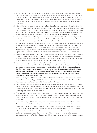- 1.13 For three years after the Switch Date if your Old Bank receives payments or requests for payments which relate to your Old Account, subject to compliance with applicable laws, it will redirect these to your New Account. However, if there is an outstanding debt on your Old Account, your Old Bank is entitled to use any funds or payments it receives (including by cheque) in full or part settlement of the debt on your Old Account. The originators of any redirected payments or payment requests will be advised of your New Account details.
- 1.14 In the unlikely event that payments continue to be redirected to your New Account during the 13 months leading up to the end of the three year redirection period we will automatically extend the redirection service and the term of this Agreement until such time as there is a 13 month period when no Direct Debits, Bacs Direct Credits or Faster Payment transactions have been automatically redirected by the central redirection service. Consequently payments made with intervals of more than 13 months will be disregarded.
- 1.15 For three years after the Switch Date, or longer in accordance with clause 1.14 of the Agreement, payments received in pounds from within the UK by your Old Bank will be redirected and credited to your New Account on the same working day that they were received by your Old Bank.
- 1.16 For three years after the Switch Date, or longer in accordance with clause 1.14 of the Agreement, payments received by your Old Bank in any currency other than pounds will be redirected in the same currency as your Old Bank receives them on the day that the funds are made available to your Old Bank. In certain circumstances it may be necessary for your Old Bank to redirect the payment to us in pounds. If this happens the Old Bank will provide us with full details of the exchange rate used and we will tell you.
- 1.17 Both we and your Old Bank have cut-off times (which may vary depending on the currency of the payment received) after which any payments received are treated as being received on the following working day. For details of your Old Bank's cut-off times you should contact your Old Bank and for details of our cut-off times you should contact us (please refer to section 4 for details of how to do this).
- 1.18 You can stop any payment(s) being redirected by your Old Bank to your New Account by contacting us (please refer to section 4 for details of how to do this). You need to do this by close of business on the working day before you expect the payment to be received by your Old Bank. **However, please be aware that if you stop your Old Bank redirecting a payment to us, this will mean that your Old Bank will stop redirecting any and all future payments and requests for payments to us from that date. Instead, any payments made to, or requests for payments from, your Old Account will be returned to the payment originator with the reason "account closed".**
- 1.19 If you have used your Old Account debit card before the Switch Date to make payments which have not been authorised and paid by your Old Bank out of your Old Account before the Switch Date, we will pay them out of your New Account (subject to the availability of funds).
- 1.20 If any cheques drawn by you on your Old Account have not been presented to your Old Bank for payment before the Switch Date, we will pay them out of your New Account (subject to the availability of funds). This is dependent on whether or not we are a cheque issuing bank and we have advised you in advance that we will not pay cheques drawn on another bank.
- 1.21 If you have asked your Old Bank to cancel a cheque drawn on your Old Account and you change your mind, we may not be able to cancel that instruction. If you wish to cancel a cheque drawn on your Old Account after the Switch Date you must contact us (please refer to section 4 for details of how to do this) to make this request.
- 1.22 You must not use your Old Account chequebook and debit card details after the Switch Date and you should destroy your Old Account chequebook and debit card promptly after the Switch Date.
- 1.23 The Current Account Switch Service does not include payment arrangements that are held by third party providers. If you think you may have any payment arrangements like this please contact us for advice.
- 1.24 In the event that your Old Bank withdraws from the service and your old sort code is no longer able to receive payments because it is withdrawn from the UK payment systems the redirection service will no longer be available with effect from the date your old sort code is removed from the UK payment system.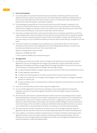#### **2. Errors and Complaints**

- 2.1 You will see details of any funds transferred and any forwarded or redirected payments in the next statement that you receive for your New Account. You should check your statement carefully and let us know as soon as possible if you think there has been an error or if funds haven't been transferred or a payment hasn't been forwarded or redirected as expected.
- 2.2 If something goes wrong with the Current Account Switch Service (for example if a payment is not redirected, is redirected incorrectly, or is lost), we will correct the error, you will receive a refund of any interest and/or charges incurred, paid or lost on your Old Account or your New Account as a result of the failure and we will notify you of any action we have taken and the outcome.
- 2.3 If you have a complaint about the Current Account Switch Service it should be raised with us in the first instance (please refer section 4 for details of how to do this) and we will deal with it as quickly as possible under our internal complaints procedure, copies of which are available on request. We will tell you if we pass your enquiry on to your Old Bank and advise you how we intend to deal with your complaint from that point.
- 2.4 If we do not resolve your complaint to your satisfaction, you may be able to refer it to the Financial Ombudsman Service, which is the independent service for settling disputes between consumers and businesses providing financial services. Their contact details are:

Address: Exchange Tower, London, E14 9SR

Telephone: +44 (0)800 023 4567

E-mail: complaint.info@financial-ombudsman.org.uk

#### **3. This Agreement**

- 3.1 We will give you at least two months' notice of changes to the redirection services provided under this Agreement. If you are not happy with the changes, you should tell us and you will be able to end the Agreement immediately and without charge before the changes take effect. If we do not hear from you, we will treat you as having accepted the changes. We may make changes:
	- $\bullet$  to respond proportionately to changes in general law or decisions of the Financial Ombudsman Service;
	- $\bullet$  to meet regulatory requirements;
	- $\bullet$  to reflect new industry guidance and codes of practice which improve consumer protection;
	- $\bullet$  to reflect the introduction of or changes to technologies or other innovations or changes to payment systems or schemes; and
	- $\bullet$  to help us introduce new or improved systems, methods of operation and new features or services that may benefit you.
- 3.2 If you ask us, we'll provide you with a further copy of this Agreement.
- 3.3 You can end this Agreement at any time by contacting us. If you end this Agreement all payment redirection activities will stop (see paragraph 1.18 above for what will happen if payment redirection activities stop).
- 3.4 We will stop the switch and/or suspend redirection activities if we have reasonable grounds to suspect fraud perpetrated by a third party or we consider it appropriate for your protection or to comply with our statutory duties. Unless we are unable to contact you or there is a legal reason or other circumstances beyond our control preventing us from doing so, we will tell you before taking this action and provide our reasons for doing so. If we are unable to contact you beforehand, where possible we will do so as soon as we can afterwards. You are responsible for all losses incurred by you if you have acted fraudulently.
- 3.5 We may, at any time, transfer to any person or business any or all of our rights and duties under this Agreement. We will only do this if you are no less favourably treated after the transfer than beforehand.
- 3.6 If your address is in Scotland or Northern Ireland, the laws of Scotland or Northern Ireland apply to this Agreement and the courts of Scotland or Northern Ireland may settle any related dispute. If you live elsewhere, the laws of England apply to this Agreement and the courts of England and Wales have nonexclusive jurisdiction to settle any related dispute.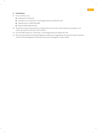#### **4. Contacting Us**

- 4.1 You can contact us by:
	- $\bullet$  visiting your local branch
	- $\bullet$  writing to us at Ulster Bank, 11-16 Donegall Street East, Belfast BT1 5UB
	- $\bullet$  telephoning us on 0800 046 6486
	- Relay UK 18001 0800 015 4422
- 4.2 We will only communicate with you in English and we will use the contact details you have given us to contact you by phone, post, by e-mail or by text.
- 4.3 Our head office details are: Ulster Bank, 11-16 Donegall Street east, Belfast BT1 5UB.
- 4.4 We are authorised by the Prudential Regulation Authority and regulated by the Financial Conduct Authority and the Prudential Regulation Authority (Financial Services Register number 121878).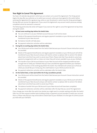#### **Your Right to Cancel This Agreement**

You have a 14 calendar day period in which you can contact us to cancel this Agreement. The 14 day period begins the day after you authorise us to switch your account, unless you have agreed to the switch before receiving this Agreement for signature (e.g. online or over the phone), in which case the 14 day period begins the day after you receive this Agreement. If you cancel this Agreement, any account switch processes already completed cannot be reversed or unwound.

The following points describe what will happen if you exercise this right to cancel the Agreement at key times during the switch.

#### **1. At least seven working days before the Switch Date:**

- $\bullet$  You can continue to use your Old Bank account because it will not be closed.
- Details of the payment beneficiaries and regular payment mandates on your Old Account will not be transferred to your New Account.
- $\bullet$  No balance transfer will take place.
- $\bullet$  No payment redirection activities will be undertaken.

#### **2. During the six working days before the Switch Date:**

- $\bullet$  Your Old Account will be closed from the Switch Date because your Account Closure Instruction cannot be cancelled.
- Details of the payment beneficiaries and regular payment mandates on your Old Account will still be transferred to your New Account and you will need to contact us (please refer to section 4 for details about how to do this) if you wish to cancel any of them. Please note that if you decide to cancel any payment arrangements with us it does not mean they will remain available to you at your Old Bank.
- $\bullet$  The transfer of your Old Account balance to your New Account will be stopped provided we have enough time to notify your Old Bank that you have cancelled the Agreement before your Old Bank closes for business on the working day before the Switch. Your Old Bank will contact you to find out where you would like your money (e.g. the credit balance in your Old Account) to be sent.
- **I** No payment redirection activities will be undertaken after the Switch Date.
- **3. On the Switch Date, or later (and within the 14 day cancellation period):**
	- $\bullet$  Your Old Account will be closed from the Switch Date because your Account Closure Instruction cannot be cancelled.
	- Details of the payment beneficiaries and regular payment mandates on your Old Account will still be transferred to your New Account and you will need to contact us (please refer to section 4 for details about how to do this) if you wish to cancel any of them.
	- The balance transfer from your Old Account to your New Account will have been completed.
	- $\bullet$  No payment redirection activities will be undertaken after the day that you cancel this Agreement.

If you change your mind after the switch has started, you might want to consider waiting until after the Switch Date. You can then request another bank, building society or payment account provider to switch your account from us. Please note that you may not be able to switch back to your Old Bank or to the type of current account you held with your Old Bank.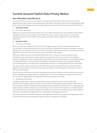## **Current Account Switch Data Privacy Notice**

#### **Your Information; How We Use It.**

In order to fulfil your Current Account Switch in accordance with the terms of the Current Account Switch Agreement, we collect, process, share and keep your information. This privacy notice sets out everything you need to know about what happens to your information when you choose to use the Current Account Switch Service.

#### **1 Starting The Switch**

#### 1.1 Information we process

When you set up your new current account with us, we collect and process your name, address, contact details, and give you a new account number and sort code. If your new account is a joint account, we also collect and process the joint account holder's name, address and contact details. Together, this is your New Bank Information.

#### **2 During The Switch**

#### 2.1 Use of your information

When we receive your signed Current Account Switch Agreement, we send your New Bank Information to your Old Bank to make sure that the correct account with your Old Bank will be closed and all regular payment arrangements are switched to your new current account with us. We will also send your Current Account Switch Agreement and Account Closure Instruction to your Old Bank if they request it.

When your Old Bank receives your New Bank Information from us, they send us your old bank account information so we can set up your regular payment arrangements on your new current account. Regular payment arrangements means standing orders, Direct Debits and future dated payments, unpresented cheques pre-dating the switch, as well as details of the payment arrangements that you set up using your Old Bank on-line banking system (including mobile banking Apps) more than six working days before your switch date.

We collect, process, share and retain your information because you have signed the Current Account Switch Agreement and requested a switch. If for any reason you object to us processing your information we cannot fulfil your switch request.

We also use your information to deal with any queries you may have during or after the switch process and any queries relating to your regular payment arrangements. This is to ensure that you are happy with the switch service and your regular payment arrangements continue to operate successfully.

#### 2.2 Sharing your Information

In addition to sharing your New Bank Information with your Old Bank, we also share your New Bank Information with payment system operators and the provider of the payment system software. We do this so that any regular payments initiated using automated, online and telephone banking means or single payments made by cheque whether made by you, or received by you, will continue to be made from or received into your new current account. It also helps us resolve any queries you may have. This ensures that your switch makes no difference to the people and organisations you are paying or receiving payments from.

We will also share your New Bank Information with organisations that you have payment arrangements with in circumstances where we are dealing with regular payment arrangement complaints.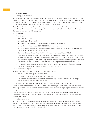#### **3 After Your Switch**

#### 3.1 Keeping your information

Your New Bank Information is used by us for a number of purposes. The Current Account Switch Service is only one of those purposes. Your information that relates solely to the Current Account Switch Service will be kept by us so that we can complete the switch and address any future queries or disputes relating to your switch. These include queries or disputes relating to any of your payment arrangements.

We understand our legal obligations relating to your information which include minimum retention periods for accounting and legal documents. Where it is possible to minimise or reduce the amount of your information that is stored, we make sure this takes place.

#### **4. At Any Time**

- 4.1 Contacting Us
	- I. You can contact us by:
		- $\bullet$  visiting your local branch.
		- $\bullet$  writing to us at Ulster Bank, 11-16 Donegall Square East, Belfast BT1 5UB.
		- calling us by telephone on 0800 015 8608. Calls may be recorded.
	- II. We will only communicate with you in English and we will use the contact details you have given us to contact you by phone, post, by e-mail or by text.
	- III. Our head office details are: Ulster Bank, 11-16 Donegall Square East, Belfast, BT1 5UB.
	- IV. Ulster Bank, a business name of National Westminster Bank Plc ("NatWest"), registered in England and Wales (Registered Number 929027). Registered office: 250 Bishopsgate, London EC2M 4AA. Authorised by the Prudential Regulation Authority and regulated by the Financial Conduct Authority and the Prudential Regulation Authority, and entered on the Financial Services Register (Registration Number 121878).
	- V. If you wish us to raise a complaint about how we have handled your personal information you can contact our Data Protection Officer who will investigate the matter.
- 4.2 Your Information Rights

You have a number of rights in relation to your information. You can:

- I. Access and obtain a copy of your information.
- II. Require us to change incorrect or incomplete information.
- III. Require us to delete or stop using your information but only where the information is no longer necessary for the purposes of the switch; and
- IV. Object to us using your information but only where we no longer need to process it.

Please use the contact us details above if you wish to exercise any of your rights. Where possible we will let those organisations we share your information with know if we make any changes to your information, delete it or stop processing it.

If you believe that we have not complied with our data processing obligations, you can complain to the Information Commissioner, the data protection regulator in the UK. Website www.ico.org.uk and telephone number 0303 123 1113.

#### 4.3 Multiple accounts only

Your Old Bank sends us details of your regular payment arrangements. These can include details of regular payment arrangements relating to all accounts you have with your Old Bank, not just the account you have chosen to switch. We recommend you check with your Old Bank to understand if this applies your Old Bank account before you decide to use the switch service.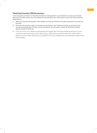#### **Third Party Provider (TPP) Permissions**

If you have given permissions to Third Party Providers to make payments on your behalf, or to access your financial data, access to these services won't be transferred automatically to your new account as part of the Current Account Switch Service.

- **1.** Before you close your old account, check whether you have any Third Party Provider permissions set up and if so, who with.
- **2.** Once your new account is open you can give your permission to the Third Party Provider to access your new account by providing them with your new account details. You will need to contact the Third Party Provider directly yourself to set this up.
- **3.** If you are unsure as to whether your New Bank will support the Third Party Provider permissions on your account, you will need to discuss this ahead of your switch with your New Provider who will be able to advise you of this. Please check your new provider's terms and conditions for more information about Third Party Providers.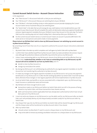#### **Current Account Switch Service – Account Closure Instruction**

SWITCH<br>GUARANTEE

*In this Agreement:* 

- *Your "New Account" is the account held with us that you are switching to.*
- **•** Your "Old Account" is the account that you are switching from at your Old Bank.
- $\bullet$  *Your "Old Bank" is the bank, building society or other payment account provider displaying the Current Account Switch Service Trustmark that you are switching from.*
- The "Switch Date" is the date that we will arrange for any credit balance to be transferred from your Old *Account to your New Account. We will complete the switch of information about your payment beneficiaries and your regular payment mandates from your Old Bank to your New Account on the same day. The Switch Date must be a working day and not a bank holiday that is observed by either your Old Bank or us.*
- For the Current Account Switch Service a 'Current Account' means an account in pounds (GBP) held in the *name of one or more persons and used to make or receive payments.*

#### **Please instruct my Old Bank that I wish to close my Old Account because I am switching my current account to my New Account with you.**

By consenting I/we (if more than one of us is required to authorise this account closure instruction) understand as follows.

- 1. My Switch Date is the date my switch completes and I will agree my Switch Date with my New Bank.
- 2. I confirm that I have satisfied myself that my New Account meets my needs and delivers the services I require even although the protections, features and benefits may not be the same as my Old Account.
- 3. Unless I have outstanding debt on my Old Account, closure of my Old Account will be effective from my Switch Date. **I understand that, whether or not I have an outstanding debt on my Old Account, my Old Account will not be available for use from my Switch Date, even if I:** 
	- **e** decide to close my New Account; or,
	- $\bullet$  change my mind about the switch.
- 4. By closing my Old Account I am withdrawing my authority for any regular payment mandates on my Old Account (as I am transferring this authority to my New Account).
- 5. If I make any changes to the regular payment mandates on my Old Account or set up any new payment beneficiaries on my Old Account on or after the 6th working day before my Switch Date I must tell my New Bank, otherwise those changes or new regular payments will not be implemented on my New Account.
- 6. As at my Switch Date, any benefits or services associated with, or dependent upon, my Old Account (e.g. travel insurance or preferential rates) will terminate.
- 7. My Old Bank will retain enough funds to cover:
	- transactions made on my Old Account before my Switch Date which are still in the process of being cleared on my Switch Date, until those transactions have cleared; and any
	- $\bullet$  debit card transactions (where applicable) that have already been authorised but which have not yet been paid out of my Old Account.
- 8. I must not write any cheques on my Old Account or use the debit card for my Old Account after my Switch Date, and I will promptly destroy my old cheque book(s) and debit card(s) for my Old Account after my Switch Date.
- 9. Any cheque that I pay into my Old Account before my Switch Date will be cleared through my Old Account and the cheque value will be transferred to my New Account when it has cleared.
- 10. After my Switch Date:
	- I should contact my New Bank if I want to cancel a cheque drawn on my Old Account; and
	- $\bullet$  I may not be able to remove any existing cancellation instruction on a cheque drawn on my Old Account.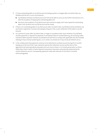- 11. If I have outstanding debt on my Old Account (including any fees or charges) after my Switch Date, my Old Bank will tell me. In such circumstances:
	- $\bullet$  my Old Bank will block my Old Account and I will not be able to carry out any further transactions on it, with the exception of repaying the outstanding debt; and
	- $\bullet$  the terms and conditions of my Old Account will continue to apply until I have repaid the outstanding debt in full, at which time my Old Account will be closed.
- 12. If there is an outstanding debt on my Old Account after my Switch Date, my Old Bank will be entitled to use any funds or payments it receives (including by cheque) in full, or part, settlement of the debt on my Old Account.
- 13. For a period of 3 years after my Switch Date, or longer in accordance with clause 14 below if my Old Bank receives payments or requests for payments it will redirect these to my New Bank (e.g. all incoming credits and direct debit requests). However, my Old Bank will still have to comply with applicable laws (for example relating to fraud, money laundering etc.), so in certain circumstances it may not be permitted to do so.
- 14. In the unlikely event that payments continue to be redirected to my New Account during the 13 months leading up to the end of the 3 year redirection period, the redirection service and the term of this Agreement will automatically be extended until such time as there is a 13 month period when no Direct Debits, Bacs Direct Credits or Faster Payment transactions have been automatically redirected by the central redirection service. Consequently, payments made with intervals of more than 13 months will be disregarded.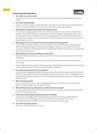#### **Frequently Asked Questions**



#### **1. Can I switch my current account?**

Yes, you can use the service to switch accounts from and to any of the participating banks and building societies.

#### **2. Can I choose my switch date?**

Yes, you can choose and agree a switch date with us. Just make sure you allow seven working days for the switch to take place and that your chosen date isn't a Saturday, Sunday or Bank Holiday.

#### **3. What happens to payments that people send to my old account?**

All incoming and outgoing payments will be automatically redirected to your new account. Each time a payment is redirected, an automatic message is sent back to the originator advising them of your new account details so they can update their records. Some organisations may contact you directly to confirm your details have changed. If you do not want your new details to be given to someone who sends a one-off payment, please contact us.

#### **4. What happens if there is a mistake or unnecessary delay in the switching process?**

In the unlikely event that there are any issues in starting the switch, we will inform you before your switch date. If anything goes wrong, we will ensure that any charges or interest incurred on your old and/or new account as a result of the error will be refunded. We will also assess whether we need to pay out compensation above and beyond the refund.

#### **5. Will switching my current account affect my credit rating?**

Simply switching from one bank to another using the Current Account Switch Service will not affect your credit rating.

However, when you open a new bank account, we may run a credit score check which could affect your credit rating.

 In the unlikely event that during the switch you encounter any problems with payments (such as a standing order), we will correct them and ensure your credit rating is not affected.

#### **6. Can I switch my current account if I am overdrawn?**

Yes. You will need to agree any overdraft facilities you require with us. Alternatively, we may be able to provide facilities to help you pay off any existing overdraft you may have, subject to our normal lending criteria. If you do not come to an agreement with us you must make separate arrangements to repay your existing overdraft before you switch.

#### **7. What if I change my mind?**

You can cancel your switch up to seven working days before your switch date. If you do want to cancel, speak to us and we can guide you through this process.

#### **8. When will the money in my old account be transferred to my new account?**

You will be able to access the funds in your old account up to and until your switch date when they will be transferred to your new account.

#### **9. Is the Current Account Switch Guarantee the same for all banks?**

Yes, all banks and building societies that display the Current Account Switch Guarantee Trustmark will follow the same switching process and must offer the same guarantees. There are over 40 participating banks and building societies in the UK and you can see them [here.](https://www.currentaccountswitch.co.uk/banks-building-societies/)

#### **10. Can I switch my savings account?**

No, we can't switch savings accounts or ISAs.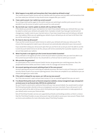#### **11. What happens to any debit card transactions that I have asked my old bank to stop?**

The Current Account Switch Service will not interfere with this process and any debit card transactions that you have asked your old bank to stop should remain stopped after your switch.

#### **12. I have a joint account. Can I switch my current account?**

Yes, as long as both parties agree to the switch and you are switching to another joint account. It is not possible to use the service to switch a joint account to a sole account.

#### **13. My new bank says I need to update my details with my old bank. Why?**

If the details you provide to your new bank do not match those details held by your old bank then you may be asked to contact your old bank and update them. Examples include if you have got married and not changed your maiden name to your married name or if you have moved house and not told your old bank your new address. When you are updating your details at your old bank you do not have to tell them that you will be switching to a new bank.

#### **14. Do I have to close my old account?**

If you use the Current Account Switch Service to switch, your old bank will close your old account. This ensures that any payments made to your old account are automatically redirected to your new account.

If you would like to keep your old account open then you are free to do so, but you won't be able to use the Current Account Switch Service to do this, and you will not be covered by the Guarantee. Speak to us and we can help explain your options.

#### **15. What if my bank is not signed up to the Current Account Switch Guarantee?**

If your old bank is not signed up to the Current Account Switch Guarantee, then you won't be able to use the Current Account Switch Service. You should talk to us find out how to switch your account.

#### **16. Who provides the guarantee?**

As a participant of the Current Account Switch Service, we guarantee your switching process. Bacs, the people behind Direct Debits and Direct Credits in the UK, manage and oversee the service.

#### **17. Are account opening and account switching all part of the same process?**

Account opening and account switching are separate processes. We have to carry out 'know your customer' security checks as part of our account opening process. Once these are complete to our satisfaction you can choose and agree your switch date.

#### **18. If the switch is delayed for any reason, can I still use my new account?**

Yes, if the new account is open and you have money in it (or an overdraft agreed) then you can use it.

#### **19. I've allowed third parties (such as financial comparison websites, money management apps and payment services) access to my financial data. Will this be switched too?**

No, you'll need to cancel and re-authorise these with your new account details. You would need to contact the third party providers directly to discuss arranging set up at your new bank. If your old account is still open, your bank will be able to tell you which third parties you've given permission to make payments on your behalf, and/or access your financial data.

Not all Third Party Providers services are supported by all banks and building societies, so there's a chance that the Third Party Providers on your old account may not be able to access your new account. Please check our terms and conditions for more information about Third Party Providers.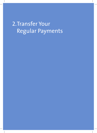# 2. Transfer Your Regular Payments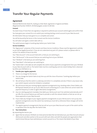## **Transfer Your Regular Payments**

#### **Agreement**

National Westminster Bank Plc, trading as Ulster Bank, registered in England and Wales (Registered Number 929027). 250 Bishopsgate, London EC2M 4AA.

#### **Consent**

You (each of you if more than one signatory is required to authorise your account switch) agree and confirm that:

You have given your consent for us to switch your existing sterling current account to your New Account.

All information that you have given to us is complete and correct.

You will be bound by the terms in this Consent and the Service Conditions.

You will select and agree a switch date with us.

The switch process begins 6 working days before your Switch Date.

#### **Service Conditions**

This "Agreement" comprises of the Consent and these Service Conditions. Please read the Agreement carefully as you will be legally bound by it. If you do not understand any part of it, please contact us (please refer to section 5 for details of how to do this).

Your "New Account" is the account held with us that you are switching to.

Your "Old Account" is the account that you are switching from at your Old Bank.

Your "Old Bank" is the bank you are switching from.

Your "New Bank" is the bank you are switching to.

The "Switch Date" is the date we will complete the switch of your payments arrangements from your Old Bank to your New Account with us. The Switch Date must be a working day and not a bank holiday that is observed by either your Old Bank or us.

#### **1. Transfer your regular payments**

- 1.1 There is no charge for the Service.
- 1.2 You can change the Switch Date at any time up until the close of business 7 working days before your Switch Date.
- 1.3 We will tell you that the switch is underway and when it is completed, and also if there is any reason why your switch request cannot be initiated or completed.
- 1.4 We will ensure that your existing regular payment arrangements (e.g. standing orders, Direct Debits and Bill Payment details) are set up on your New Account contacting you in cases where we cannot match the payment frequency in order to agree alternative arrangements.
- 1.5 Any non-sterling payment mandates that debit your Old Account won't be switched automatically and if we offer this account feature you will have to provide us with the relevant details so that we can set up these payments on your New Account.
- 1.6 If you make any changes to your regular payment arrangements on your Old Account or set up any new payment arrangements once the switch has started you must tell us otherwise these changes will not be implemented.
- 1.7 The regular payment arrangements that we will set up on your New Account as part of the switch will be in operation from the day after the Switch Date.

#### **2. Your Instructions**

By requesting the Service, you:

2.1 Agree that we and your Old Bank can share personal data that we hold about you, your New Account and your Old Account and other parties to the account with each other, and with the people and organisations that need to know that you have switched your current account to us. This means that details of your New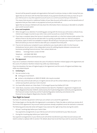Account will be passed to people and organisations that want to send you money or collect money from you.

 Agree that we will share with the New Bank details of any payment beneficiaries that you have set up on your Old Account or any other payment account (such as a current account) that you hold with us.

 This means that any joint or additional holders of your New Account will be able to see the beneficiaries of payments that you have made on any payment account you hold with us.

 Agree that we and your Old Bank will only share the information that is necessary or desirable to complete your current account switch.

#### **3. Errors and Complaints**

- 3.1 When brought to our attention if something goes wrong with the Service you will receive a refund of any interest and charges incurred on your old or new current accounts as a result of this failure.
- 3.2 If you have a complaint about the Service it should be raised with us in the first instance (refer section 5 for details of how to do this) and we will deal with it as quickly as possible under our internal complaints procedure, copies of which are available on request. We will tell you if we pass your enquiry on to your Old Bank and advise you how we intend to deal with your complaint from that point.
- 3.3 If we do not resolve your complaint to your satisfaction, you may be able to refer it to the Financial Ombudsman Service, which is the independent service for settling disputes between consumers and businesses providing financial services. Their contact details are:

Address: Exchange Tower, London E14 9SR

Telephone: +44 (0)845 080 1800

E-mail: www.financialombudsman.org.uk

#### **4. This Agreement**

If you live in Scotland or Northern Ireland, the Laws of Scotland or Northern Ireland apply to this Agreement and the courts of Scotland or Northern Ireland may settle any related dispute.

If you live elsewhere, the laws of England apply to this Agreement and the courts of England and Wales may settle any related dispute.

#### **5. Contacting Us**

- 5.1 You can contact us by:
	- $\bullet$  visiting your local branch
	- $\bullet$  contact us by telephone on 0800 015 8608. Calls may be recorded.
- 5.2 We will only communicate with you in English and we will use the contact details you have given us to contact you by phone, post, by e-mail or by text.
- 5.3 Our head office details are: Ulster Bank, 11-16 Donegall Square East, Belfast, BT1 5UB.
- 5.4 Ulster Bank, a business name of National Westminster Bank Plc ("NatWest"), registered in England and Wales (Registered Number 929027). Authorised by the Prudential Regulation Authority and regulated by the Financial Conduct Authority and the Prudential Regulation Authority, and entered on the Financial Services Register (Registration Number 121878).

#### **Your Right to Cancel**

You have a 14 calendar day period in which you can contact us to cancel this agreement.

The 14 days begins on the day after this Agreement is concluded or, if later, the date on which you receive all of the terms of this Agreement. Any account switch processes already completed cannot be reversed or unwound.

The following points describe what will happen if you exercise this right at key times during the switch.

1. At least 7 working days before your Switch Date:

Your payments arrangements on your Old Account will not be transferred to your New Account.

2. During the 6 working days before your Switch Date:

Your payment arrangements on your Old Account will still be transferred to your New Account and you will need to contact us (please refer to section 5 for details about how to do this) if you wish to cancel any of them.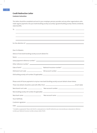#### **Credit Redirection Letter Customer instruction:**

This letter should be completed and sent to your employer, pension provider and any other organisations who make regular payments into your bank/building society account(s), eg bank/building society interest, dividends, state benefits.

| Dear Sir/Madam,                                          |                                                                                                                                                                                                                                      |  |
|----------------------------------------------------------|--------------------------------------------------------------------------------------------------------------------------------------------------------------------------------------------------------------------------------------|--|
| Advice of new bank/building society account details for: |                                                                                                                                                                                                                                      |  |
|                                                          | Name: <u>example and the contract of the contract of the contract of the contract of the contract of the contract of the contract of the contract of the contract of the contract of the contract of the contract of the contrac</u> |  |
|                                                          |                                                                                                                                                                                                                                      |  |
|                                                          |                                                                                                                                                                                                                                      |  |
|                                                          |                                                                                                                                                                                                                                      |  |
|                                                          |                                                                                                                                                                                                                                      |  |
|                                                          |                                                                                                                                                                                                                                      |  |
|                                                          |                                                                                                                                                                                                                                      |  |
|                                                          | Please send all future payments to my/our new bank/building society account details shown below.                                                                                                                                     |  |
|                                                          |                                                                                                                                                                                                                                      |  |
|                                                          |                                                                                                                                                                                                                                      |  |
|                                                          | New building society roll number (if applicable): New York Change and Change and Change and Change and Change and Change and Change and Change and Change and Change and Change and Change and Change and Change and Change an       |  |
|                                                          |                                                                                                                                                                                                                                      |  |
| Yours faithfully                                         |                                                                                                                                                                                                                                      |  |
|                                                          |                                                                                                                                                                                                                                      |  |
| Date: $\overline{\phantom{a}}$                           |                                                                                                                                                                                                                                      |  |

\* Complete as appropriate. Please note that for a salary/pension or benefit redirection you must provide your salary/person reference number, your National Insurance number, and your date of birth.